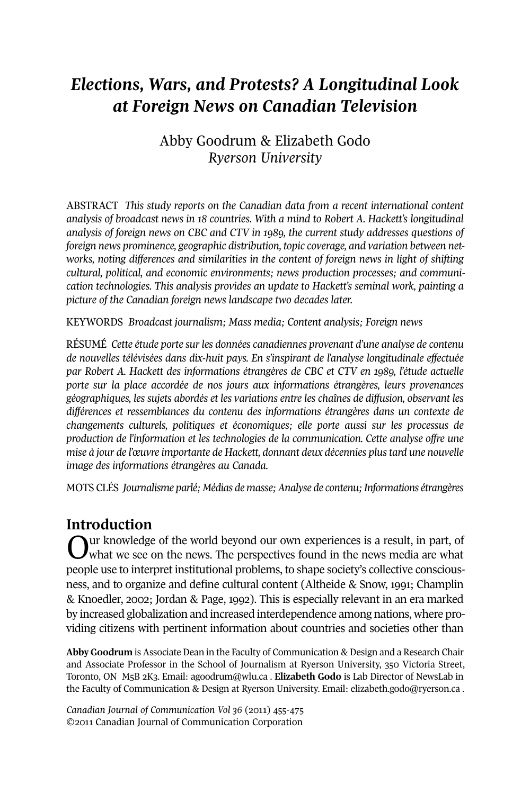# *Elections, Wars, and Protests? A Longitudinal Look at Foreign News on Canadian Television*

# Abby Goodrum & Elizabeth Godo *Ryerson University*

ABSTRACT *This study reports on the Canadian data from a recent international content analysis of broadcast news in 18 countries. With a mind to Robert A. Hackett's longitudinal analysis of foreign news on CBC and CTV in 1989, the current study addresses questions of foreign news prominence, geographic distribution, topic coverage, and variation between networks, noting differences and similarities in the content of foreign news in light of shifting cultural, political, and economic environments; news production processes; and communication technologies. This analysis provides an update to Hackett's seminal work, painting a picture of the Canadian foreign news landscape two decades later.*

KEywORDS *Broadcast journalism; Mass media; Content analysis; Foreign news*

RÉSUMÉ *Cette étude porte sur les données canadiennes provenant d'une analyse de contenu de nouvelles télévisées dans dix-huit pays. En s'inspirant de l'analyse longitudinale effectuée par Robert A. Hackett des informations étrangères de CBC et CTV en 1989, l'étude actuelle porte sur la place accordée de nos jours aux informations étrangères, leurs provenances géographiques, les sujets abordés et les variations entre les chaînes de diffusion, observant les différences et ressemblances du contenu des informations étrangères dans un contexte de changements culturels, politiques et économiques; elle porte aussi sur les processus de production de l'information et les technologies de la communication. Cette analyse offre une mise à jour de l'œuvre importante de Hackett, donnant deux décennies plustard une nouvelle image des informations étrangères au Canada.*

MOTS CLÉS *Journalisme parlé; Médias de masse;Analyse de contenu;Informations étrangères*

# **Introduction**

Uur knowledge of the world beyond our own experiences is a result, in part, of what we see on the news. The perspectives found in the news media are what people use to interpret institutional problems, to shape society's collective consciousness, and to organize and define cultural content (Altheide & Snow, 1991; Champlin & Knoedler, 2002; Jordan & Page, 1992). This is especially relevant in an era marked by increased globalization and increased interdependence among nations, where providing citizens with pertinent information about countries and societies other than

**Abby Goodrum** is Associate Dean in the Faculty of Communication & Design and a Research Chair and Associate Professor in the School of Journalism at Ryerson University, 350 Victoria Street, Toronto, ON M5B 2K3. Email: [agoodrum@wlu.ca](mailto:agoodrum@wlu.ca) . **Elizabeth Godo** is Lab Director of NewsLab in the Faculty of Communication & Design at Ryerson University. Email: [elizabeth.godo@ryerson.ca](mailto:elizabeth.godo@ryerson.ca) .

*Canadian Journal of Communication Vol 36* (2011) 455-475 ©2011 Canadian Journal of Communication Corporation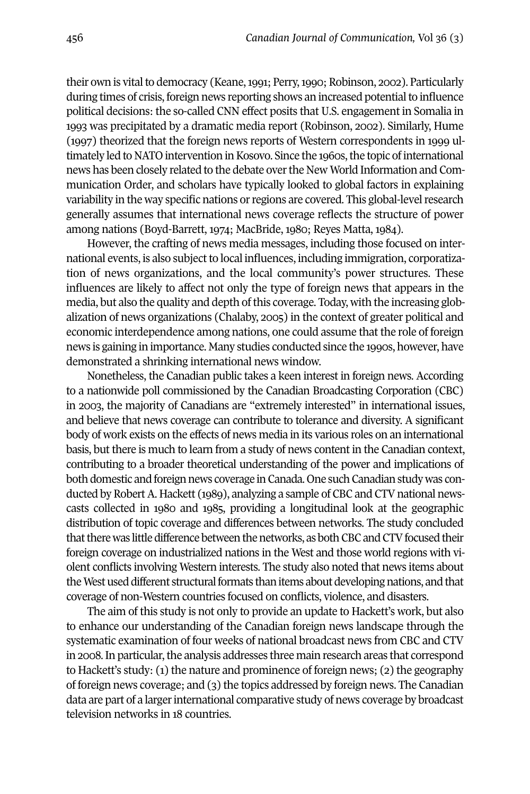their own is vital to democracy (Keane, 1991; Perry, 1990; Robinson, 2002). Particularly during times of crisis, foreign news reporting shows an increased potential to influence political decisions: the so-called CNN effect posits that U.S. engagement in Somalia in 1993 was precipitated by a dramatic media report (Robinson, 2002). Similarly, Hume (1997) theorized that the foreign news reports of western correspondents in 1999 ultimately led to NATO intervention in Kosovo. Since the 1960s, the topic of international news has been closely related to the debate overthe New world Information and Communication Order, and scholars have typically looked to global factors in explaining variability in the way specific nations or regions are covered. This global-level research generally assumes that international news coverage reflects the structure of power among nations (Boyd-Barrett, 1974; MacBride, 1980; Reyes Matta, 1984).

However, the crafting of news media messages, including those focused on international events, is also subject to local influences, including immigration, corporatization of news organizations, and the local community's power structures. These influences are likely to affect not only the type of foreign news that appears in the media, but also the quality and depth of this coverage. Today, with the increasing globalization of news organizations (Chalaby, 2005) in the context of greater political and economic interdependence among nations, one could assume that the role of foreign news is gaining in importance. Many studies conducted since the 1990s, however, have demonstrated a shrinking international news window.

Nonetheless, the Canadian public takes a keen interest in foreign news. According to a nationwide poll commissioned by the Canadian Broadcasting Corporation (CBC) in 2003, the majority of Canadians are "extremely interested" in international issues, and believe that news coverage can contribute to tolerance and diversity. A significant body of work exists on the effects of news media in its various roles on an international basis, but there is much to learn from a study of news content in the Canadian context, contributing to a broader theoretical understanding of the power and implications of both domestic and foreign news coverage in Canada. One such Canadian study was conducted by Robert A. Hackett (1989), analyzing a sample of CBC and CTV national newscasts collected in 1980 and 1985, providing a longitudinal look at the geographic distribution of topic coverage and differences between networks. The study concluded that there was little difference between the networks, as both CBC and CTV focused their foreign coverage on industrialized nations in the west and those world regions with violent conflicts involving western interests. The study also noted that news items about the West used different structural formats than items about developing nations, and that coverage of non-western countries focused on conflicts, violence, and disasters.

The aim of this study is not only to provide an update to Hackett's work, but also to enhance our understanding of the Canadian foreign news landscape through the systematic examination of four weeks of national broadcast news from CBC and CTV in 2008. In particular, the analysis addresses three main research areas that correspond to Hackett's study: (1) the nature and prominence of foreign news; (2) the geography of foreign news coverage; and (3) the topics addressed by foreign news. The Canadian data are part of a larger international comparative study of news coverage by broadcast television networks in 18 countries.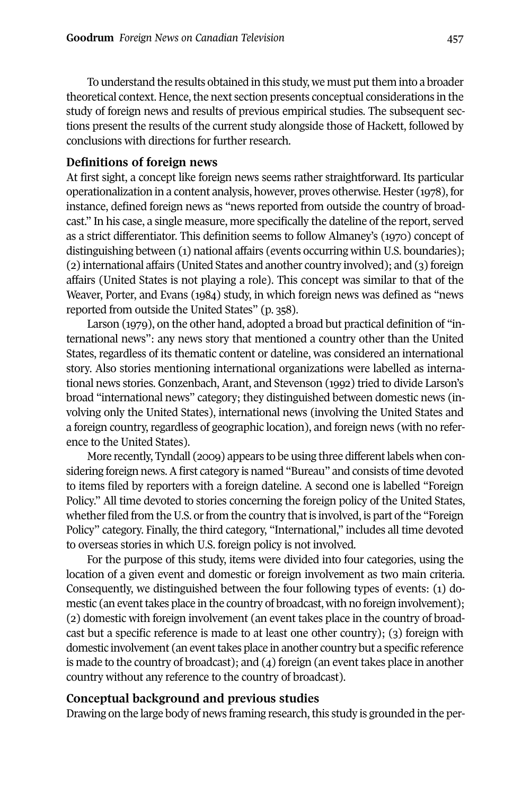To understand the results obtained in this study, we must put them into a broader theoretical context. Hence, the next section presents conceptual considerations in the study of foreign news and results of previous empirical studies. The subsequent sections present the results of the current study alongside those of Hackett, followed by conclusions with directions for further research.

# **Definitions of foreign news**

At first sight, a concept like foreign news seems rather straightforward. Its particular operationalization in a content analysis, however, proves otherwise. Hester (1978), for instance, defined foreign news as "news reported from outside the country of broadcast." In his case, a single measure, more specifically the dateline of the report, served as a strict differentiator. This definition seems to follow Almaney's (1970) concept of distinguishing between (1) national affairs (events occurring within U.S. boundaries); (2) international affairs (United States and another country involved); and (3) foreign affairs (United States is not playing a role). This concept was similar to that of the weaver, Porter, and Evans (1984) study, in which foreign news was defined as "news reported from outside the United States" (p. 358).

Larson (1979), on the other hand, adopted a broad but practical definition of "international news": any news story that mentioned a country other than the United States, regardless of its thematic content or dateline, was considered an international story. Also stories mentioning international organizations were labelled as international news stories. Gonzenbach, Arant, and Stevenson (1992) tried to divide Larson's broad "international news" category; they distinguished between domestic news (involving only the United States), international news (involving the United States and a foreign country, regardless of geographic location), and foreign news (with no reference to the United States).

More recently, Tyndall (2009) appears to be using three different labels when considering foreign news. A first category is named "Bureau" and consists of time devoted to items filed by reporters with a foreign dateline. A second one is labelled "Foreign Policy." All time devoted to stories concerning the foreign policy of the United States, whether filed from the U.S. or from the country that is involved, is part of the "Foreign Policy" category. Finally, the third category, "International," includes all time devoted to overseas stories in which U.S. foreign policy is not involved.

For the purpose of this study, items were divided into four categories, using the location of a given event and domestic or foreign involvement as two main criteria. Consequently, we distinguished between the four following types of events: (1) domestic (an event takes place in the country of broadcast, with no foreign involvement); (2) domestic with foreign involvement (an event takes place in the country of broadcast but a specific reference is made to at least one other country); (3) foreign with domestic involvement (an eventtakes place in another country but a specific reference is made to the country of broadcast); and (4) foreign (an event takes place in another country without any reference to the country of broadcast).

# **Conceptual background and previous studies**

Drawing on the large body of news framing research, this study is grounded in the per-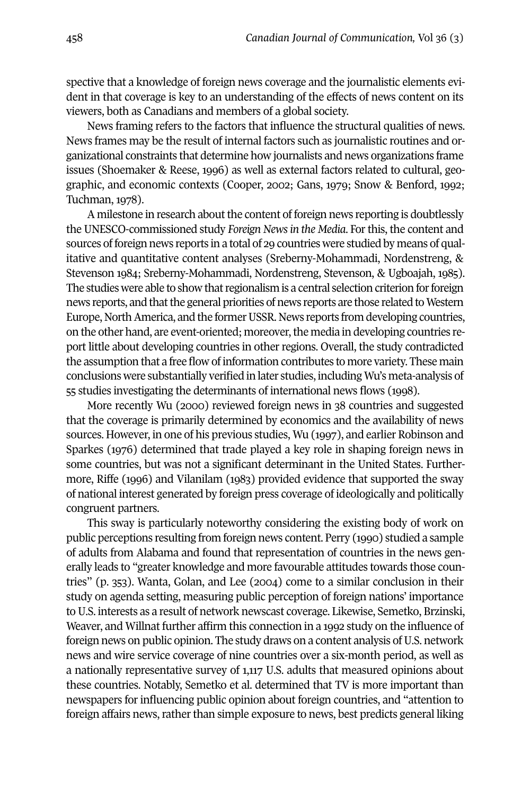spective that a knowledge of foreign news coverage and the journalistic elements evident in that coverage is key to an understanding of the effects of news content on its viewers, both as Canadians and members of a global society.

News framing refers to the factors that influence the structural qualities of news. News frames may be the result of internal factors such as journalistic routines and organizational constraints that determine how journalists and news organizations frame issues (Shoemaker & Reese, 1996) as well as external factors related to cultural, geographic, and economic contexts (Cooper, 2002; Gans, 1979; Snow & Benford, 1992; Tuchman, 1978).

A milestone in research about the content of foreign news reporting is doubtlessly the UNESCO-commissioned study *Foreign Newsin the Media*. Forthis, the content and sources of foreign news reports in a total of 29 countries were studied by means of qualitative and quantitative content analyses (Sreberny-Mohammadi, Nordenstreng, & Stevenson 1984; Sreberny-Mohammadi, Nordenstreng, Stevenson, & Ugboajah, 1985). The studies were able to show that regionalism is a central selection criterion for foreign news reports, and that the general priorities of news reports are those related to Western Europe, North America, and the former USSR. News reports from developing countries, on the other hand, are event-oriented; moreover,the media in developing countries report little about developing countries in other regions. Overall, the study contradicted the assumption that a free flow of information contributes to more variety. These main conclusions were substantially verified in later studies, including wu's meta-analysis of 55 studies investigating the determinants of international news flows (1998).

More recently wu (2000) reviewed foreign news in 38 countries and suggested that the coverage is primarily determined by economics and the availability of news sources. However, in one of his previous studies, wu (1997), and earlier Robinson and Sparkes (1976) determined that trade played a key role in shaping foreign news in some countries, but was not a significant determinant in the United States. Furthermore, Riffe (1996) and Vilanilam (1983) provided evidence that supported the sway of national interest generated by foreign press coverage of ideologically and politically congruent partners.

This sway is particularly noteworthy considering the existing body of work on public perceptions resulting from foreign news content. Perry (1990) studied a sample of adults from Alabama and found that representation of countries in the news generally leads to "greater knowledge and more favourable attitudes towards those countries" (p. 353). wanta, Golan, and Lee (2004) come to a similar conclusion in their study on agenda setting, measuring public perception of foreign nations' importance toU.S. interests as a result of network newscast coverage. Likewise, Semetko, Brzinski, weaver, and willnat further affirm this connection in a 1992 study on the influence of foreign news on public opinion. The study draws on a content analysis of U.S. network news and wire service coverage of nine countries over a six-month period, as well as a nationally representative survey of 1,117 U.S. adults that measured opinions about these countries. Notably, Semetko et al. determined that TV is more important than newspapers for influencing public opinion about foreign countries, and "attention to foreign affairs news, rather than simple exposure to news, best predicts general liking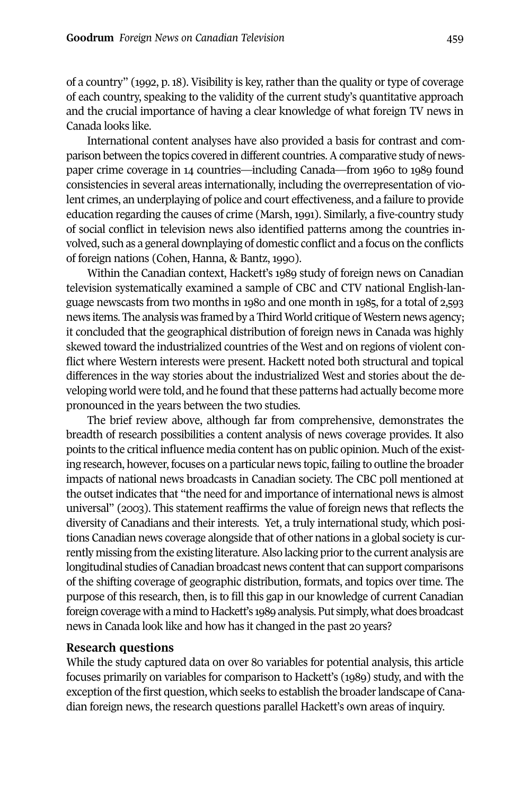of a country" (1992, p. 18). Visibility is key, rather than the quality or type of coverage of each country, speaking to the validity of the current study's quantitative approach and the crucial importance of having a clear knowledge of what foreign TV news in Canada looks like.

International content analyses have also provided a basis for contrast and comparison between the topics covered in different countries.Acomparative study of newspaper crime coverage in 14 countries—including Canada—from 1960 to 1989 found consistencies in several areas internationally, including the overrepresentation of violent crimes, an underplaying of police and court effectiveness, and a failure to provide education regarding the causes of crime (Marsh, 1991). Similarly, a five-country study of social conflict in television news also identified patterns among the countries involved, such as a general downplaying of domestic conflict and a focus on the conflicts of foreign nations (Cohen, Hanna, & Bantz, 1990).

within the Canadian context, Hackett's 1989 study of foreign news on Canadian television systematically examined a sample of CBC and CTV national English-language newscasts from two months in 1980 and one month in 1985, for a total of 2,593 news items. The analysis was framed by a Third world critique of western news agency; it concluded that the geographical distribution of foreign news in Canada was highly skewed toward the industrialized countries of the west and on regions of violent conflict where western interests were present. Hackett noted both structural and topical differences in the way stories about the industrialized west and stories about the developing world were told, and he found that these patterns had actually become more pronounced in the years between the two studies.

The brief review above, although far from comprehensive, demonstrates the breadth of research possibilities a content analysis of news coverage provides. It also points to the critical influence media content has on public opinion. Much ofthe existing research, however, focuses on a particular news topic, failing to outline the broader impacts of national news broadcasts in Canadian society. The CBC poll mentioned at the outset indicates that "the need for and importance of international news is almost universal" (2003). This statement reaffirms the value of foreign news that reflects the diversity of Canadians and their interests. yet, a truly international study, which positions Canadian news coverage alongside that of other nations in a global society is currently missing from the existing literature.Also lacking priorto the current analysis are longitudinal studies of Canadian broadcast news content that can support comparisons of the shifting coverage of geographic distribution, formats, and topics over time. The purpose of this research, then, is to fill this gap in our knowledge of current Canadian foreign coverage with a mind to Hackett's 1989 analysis. Put simply, what does broadcast news in Canada look like and how has it changed in the past 20 years?

# **Research questions**

while the study captured data on over 80 variables for potential analysis, this article focuses primarily on variables for comparison to Hackett's (1989) study, and with the exception of the first question, which seeks to establish the broader landscape of Canadian foreign news, the research questions parallel Hackett's own areas of inquiry.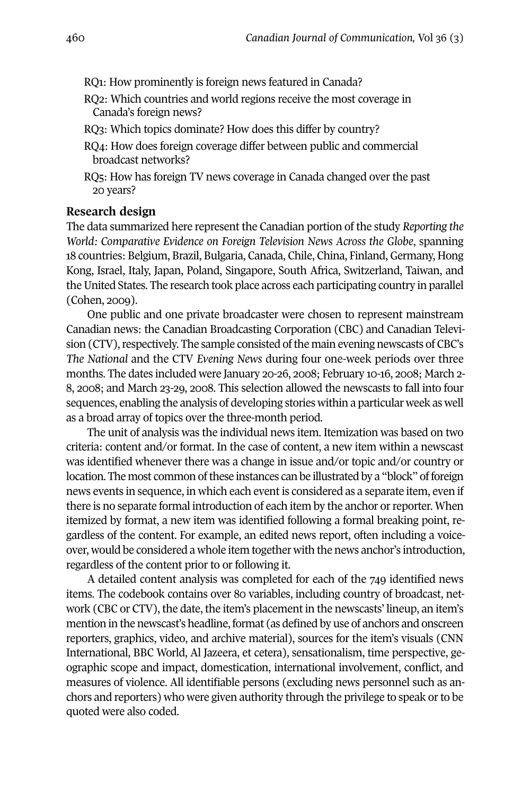- RQ1: How prominently is foreign news featured in Canada?
- RQ2: which countries and world regions receive the most coverage in Canada's foreign news?
- RQ3: which topics dominate? How does this differ by country?
- RQ4: How does foreign coverage differ between public and commercial broadcast networks?
- RQ5: How has foreign TV news coverage in Canada changed over the past 20 years?

#### **Research design**

The data summarized here represent the Canadian portion of the study *Reporting the World: Comparative Evidence on Foreign Television News Across the Globe*, spanning 18 countries: Belgium, Brazil, Bulgaria, Canada, Chile, China, Finland, Germany, Hong Kong, Israel, Italy, Japan, Poland, Singapore, South Africa, Switzerland, Taiwan, and the United States. The research took place across each participating country in parallel (Cohen, 2009).

One public and one private broadcaster were chosen to represent mainstream Canadian news: the Canadian Broadcasting Corporation (CBC) and Canadian Television (CTV), respectively. The sample consisted of the main evening newscasts of CBC's *The National* and the CTV *Evening News* during four one-week periods over three months. The dates included were January 20-26, 2008; February 10-16, 2008; March 2- 8, 2008; and March 23-29, 2008. This selection allowed the newscasts to fall into four sequences, enabling the analysis of developing stories within a particular week as well as a broad array of topics over the three-month period.

The unit of analysis was the individual news item. Itemization was based on two criteria: content and/or format. In the case of content, a new item within a newscast was identified whenever there was a change in issue and/or topic and/or country or location. The most common of these instances can be illustrated by a "block" of foreign news events in sequence, in which each event is considered as a separate item, even if there is no separate formal introduction of each item by the anchor or reporter. When itemized by format, a new item was identified following a formal breaking point, regardless of the content. For example, an edited news report, often including a voiceover, would be considered a whole item together with the news anchor's introduction, regardless of the content prior to or following it.

A detailed content analysis was completed for each of the 749 identified news items. The codebook contains over 80 variables, including country of broadcast, network (CBC or CTV), the date, the item's placement in the newscasts' lineup, an item's mention in the newscast's headline, format (as defined by use of anchors and onscreen reporters, graphics, video, and archive material), sources for the item's visuals (CNN International, BBC world, Al Jazeera, et cetera), sensationalism, time perspective, geographic scope and impact, domestication, international involvement, conflict, and measures of violence. All identifiable persons (excluding news personnel such as anchors and reporters) who were given authority through the privilege to speak orto be quoted were also coded.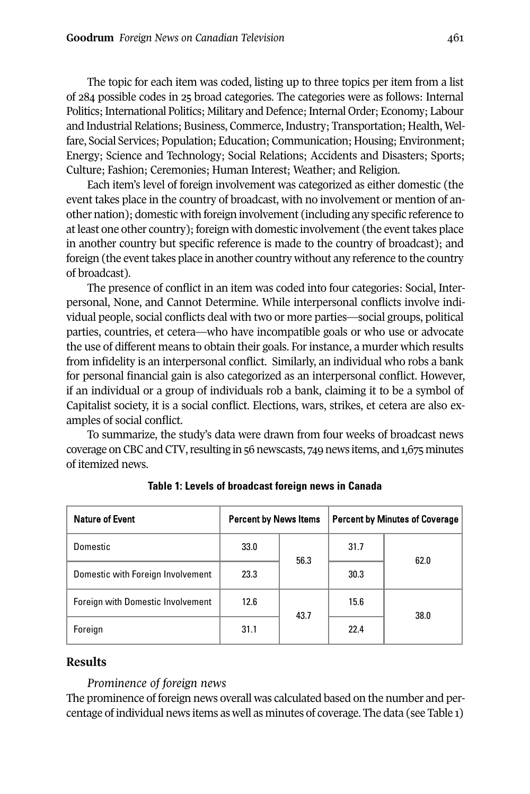The topic for each item was coded, listing up to three topics per item from a list of 284 possible codes in 25 broad categories. The categories were as follows: Internal Politics; International Politics; Military and Defence; Internal Order; Economy; Labour and Industrial Relations; Business, Commerce,Industry; Transportation; Health, welfare, Social Services; Population; Education; Communication; Housing; Environment; Energy; Science and Technology; Social Relations; Accidents and Disasters; Sports; Culture; Fashion; Ceremonies; Human Interest; weather; and Religion.

Each item's level of foreign involvement was categorized as either domestic (the event takes place in the country of broadcast, with no involvement or mention of another nation); domestic with foreign involvement (including any specific reference to atleast one other country); foreign with domestic involvement (the eventtakes place in another country but specific reference is made to the country of broadcast); and foreign (the event takes place in another country without any reference to the country of broadcast).

The presence of conflict in an item was coded into four categories: Social, Interpersonal, None, and Cannot Determine. while interpersonal conflicts involve individual people, social conflicts deal with two or more parties—social groups, political parties, countries, et cetera—who have incompatible goals or who use or advocate the use of different means to obtain their goals. For instance, a murder which results from infidelity is an interpersonal conflict. Similarly, an individual who robs a bank for personal financial gain is also categorized as an interpersonal conflict. However, if an individual or a group of individuals rob a bank, claiming it to be a symbol of Capitalist society, it is a social conflict. Elections, wars, strikes, et cetera are also examples of social conflict.

To summarize, the study's data were drawn from four weeks of broadcast news coverage on CBC and CTV, resulting in 56 newscasts, 749 news items, and 1,675 minutes of itemized news.

| <b>Nature of Event</b>            | <b>Percent by News Items</b> |      |      | <b>Percent by Minutes of Coverage</b> |
|-----------------------------------|------------------------------|------|------|---------------------------------------|
| Domestic                          | 33.0                         | 56.3 | 31.7 | 62.0                                  |
| Domestic with Foreign Involvement | 23.3                         |      | 30.3 |                                       |
| Foreign with Domestic Involvement | 12.6                         |      | 15.6 | 38.0                                  |
| Foreign                           | 31.1                         | 43.7 | 22.4 |                                       |

#### **Table 1: Levels of broadcast foreign news in Canada**

# **Results**

#### *Prominence of foreign news*

The prominence of foreign news overall was calculated based on the number and percentage of individual news items as well as minutes of coverage. The data (see Table 1)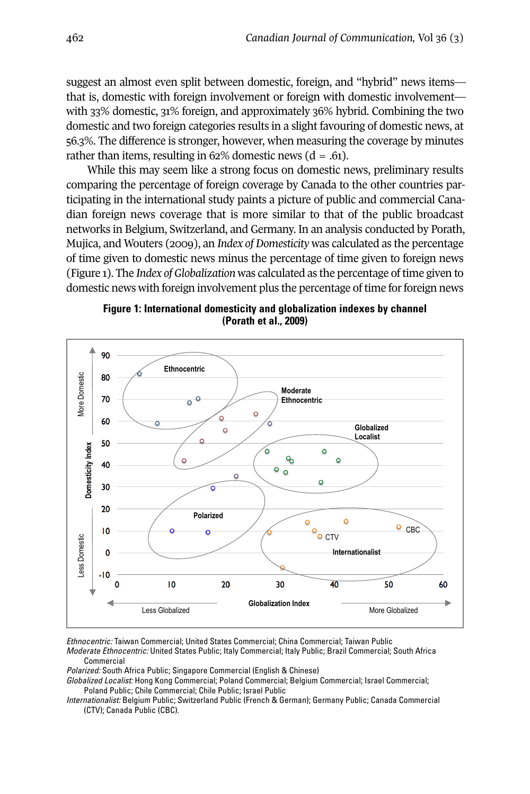suggest an almost even split between domestic, foreign, and "hybrid" news items that is, domestic with foreign involvement or foreign with domestic involvement with 33% domestic, 31% foreign, and approximately 36% hybrid. Combining the two domestic and two foreign categories results in a slight favouring of domestic news, at 56.3%. The difference is stronger, however, when measuring the coverage by minutes rather than items, resulting in  $62\%$  domestic news  $(d = .61)$ .

while this may seem like a strong focus on domestic news, preliminary results comparing the percentage of foreign coverage by Canada to the other countries participating in the international study paints a picture of public and commercial Canadian foreign news coverage that is more similar to that of the public broadcast networks in Belgium, Switzerland, and Germany. In an analysis conducted by Porath, Mujica, and wouters (2009), an *Index of Domesticity* was calculated as the percentage of time given to domestic news minus the percentage of time given to foreign news (Figure 1). The *Index of Globalization* was calculated as the percentage oftime given to domestic news with foreign involvement plus the percentage of time for foreign news



**Figure 1: International domesticity and globalization indexes by channel (Porath et al., 2009)** 

*Ethnocentric:* Taiwan Commercial; United States Commercial; China Commercial; Taiwan Public *Moderate Ethnocentric:* United States Public; Italy Commercial; Italy Public; Brazil Commercial; South Africa Commercial  $\overline{a}$ 

*Polarized:* South Africa Public; Singapore Commercial (English & Chinese)

*Globalized Localist:* Hong Kong Commercial; Poland Commercial; Belgium Commercial; Israel Commercial; Poland Public; Chile Commercial; Chile Public; Israel Public

*Internationalist:* Belgium Public; Switzerland Public (French & German); Germany Public; Canada Commercial (CTV); Canada Public (CBC).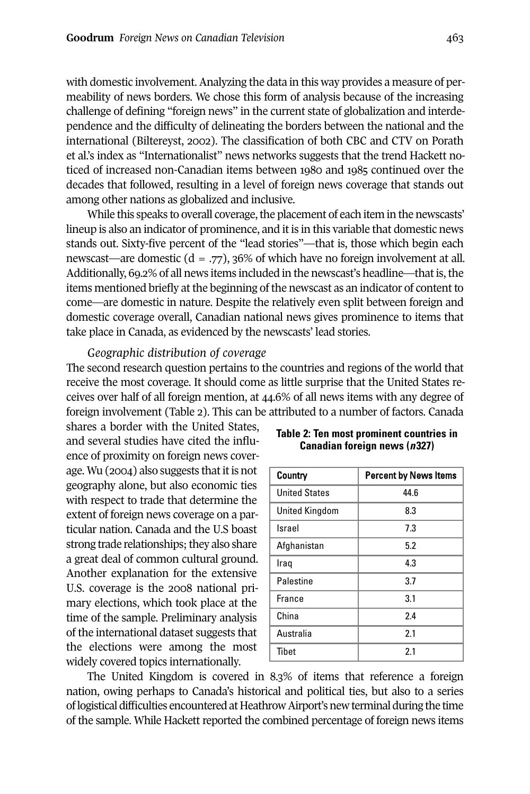with domestic involvement. Analyzing the data in this way provides a measure of permeability of news borders. we chose this form of analysis because of the increasing challenge of defining "foreign news" in the current state of globalization and interdependence and the difficulty of delineating the borders between the national and the international (Biltereyst, 2002). The classification of both CBC and CTV on Porath et al.'s index as "Internationalist" news networks suggests that the trend Hackett noticed of increased non-Canadian items between 1980 and 1985 continued over the decades that followed, resulting in a level of foreign news coverage that stands out among other nations as globalized and inclusive.

While this speaks to overall coverage, the placement of each item in the newscasts' lineup is also an indicator of prominence, and it is in this variable that domestic news stands out. Sixty-five percent of the "lead stories"—that is, those which begin each newscast—are domestic ( $d = .77$ ), 36% of which have no foreign involvement at all. Additionally, 69.2% of all news items included in the newscast's headline—that is, the items mentioned briefly at the beginning of the newscast as an indicator of content to come—are domestic in nature. Despite the relatively even split between foreign and domestic coverage overall, Canadian national news gives prominence to items that take place in Canada, as evidenced by the newscasts' lead stories.

#### *Geographic distribution of coverage*

The second research question pertains to the countries and regions of the world that receive the most coverage. It should come as little surprise that the United States receives over half of all foreign mention, at 44.6% of all news items with any degree of foreign involvement (Table 2). This can be attributed to a number of factors. Canada

shares a border with the United States, and several studies have cited the influence of proximity on foreign news coverage. Wu (2004) also suggests that it is not geography alone, but also economic ties with respect to trade that determine the extent of foreign news coverage on a particular nation. Canada and the U.S boast strong trade relationships; they also share a great deal of common cultural ground. Another explanation for the extensive U.S. coverage is the 2008 national primary elections, which took place at the time of the sample. Preliminary analysis of the international dataset suggests that the elections were among the most widely covered topics internationally.

| Country              | <b>Percent by News Items</b> |
|----------------------|------------------------------|
| <b>United States</b> | 44.6                         |
| United Kingdom       | 8.3                          |
| Israel               | 7.3                          |
| Afghanistan          | 5.2                          |
| Iraq                 | 4.3                          |
| Palestine            | 3.7                          |
| France               | 3.1                          |
| China                | 2.4                          |
| Australia            | 2.1                          |
| Tibet                | 2.1                          |

**Table 2: Ten most prominent countries in Canadian foreign news (***n***327)**

The United Kingdom is covered in 8.3% of items that reference a foreign nation, owing perhaps to Canada's historical and political ties, but also to a series oflogistical difficulties encountered atHeathrowAirport'snewterminal during the time of the sample. while Hackett reported the combined percentage of foreign news items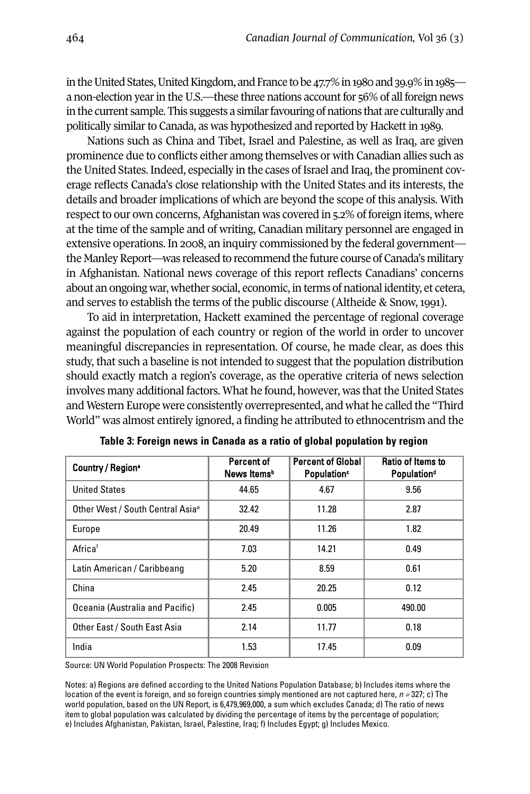in the United States, United Kingdom, and France to be 47.7% in 1980 and 39.9% in 1985 a non-election year in the U.S.—these three nations account for  $56\%$  of all foreign news in the current sample. This suggests a similar favouring of nations that are culturally and politically similar to Canada, as was hypothesized and reported by Hackett in 1989.

Nations such as China and Tibet, Israel and Palestine, as well as Iraq, are given prominence due to conflicts either among themselves or with Canadian allies such as the United States. Indeed, especially in the cases of Israel and Iraq, the prominent coverage reflects Canada's close relationship with the United States and its interests, the details and broader implications of which are beyond the scope of this analysis. with respect to our own concerns, Afghanistan was covered in 5.2% of foreign items, where at the time of the sample and of writing, Canadian military personnel are engaged in extensive operations. In 2008, an inquiry commissioned by the federal government the Manley Report—was released to recommend the future course of Canada's military in Afghanistan. National news coverage of this report reflects Canadians' concerns about an ongoing war, whether social, economic, in terms of national identity, et cetera, and serves to establish the terms of the public discourse (Altheide & Snow, 1991).

To aid in interpretation, Hackett examined the percentage of regional coverage against the population of each country or region of the world in order to uncover meaningful discrepancies in representation. Of course, he made clear, as does this study, that such a baseline is not intended to suggest that the population distribution should exactly match a region's coverage, as the operative criteria of news selection involves many additional factors. what he found, however, was that the United States and western Europe were consistently overrepresented, and what he called the "Third world" was almost entirely ignored, a finding he attributed to ethnocentrism and the

| Country / Region <sup>®</sup>                | Percent of<br>News Items <sup>b</sup> | <b>Percent of Global</b><br>Population <sup>c</sup> | Ratio of Items to<br><b>Populationd</b> |
|----------------------------------------------|---------------------------------------|-----------------------------------------------------|-----------------------------------------|
| <b>United States</b>                         | 44.65                                 | 4.67                                                | 9.56                                    |
| Other West / South Central Asia <sup>e</sup> | 32.42                                 | 11.28                                               | 2.87                                    |
| Europe                                       | 20.49                                 | 11.26                                               | 1.82                                    |
| Africaf                                      | 7.03                                  | 14.21                                               | 0.49                                    |
| Latin American / Caribbeang                  | 5.20                                  | 8.59                                                | 0.61                                    |
| China                                        | 2.45                                  | 20.25                                               | 0.12                                    |
| Oceania (Australia and Pacific)              | 2.45                                  | 0.005                                               | 490.00                                  |
| Other East / South East Asia                 | 2.14                                  | 11.77                                               | 0.18                                    |
| India                                        | 1.53                                  | 17.45                                               | 0.09                                    |

|  | Table 3: Foreign news in Canada as a ratio of global population by region |  |  |  |  |  |
|--|---------------------------------------------------------------------------|--|--|--|--|--|
|--|---------------------------------------------------------------------------|--|--|--|--|--|

Source: UN World Population Prospects: The 2008 Revision

Notes: a) Regions are defined according to the United Nations Population Database; b) Includes items where the location of the event is foreign, and so foreign countries simply mentioned are not captured here, *n =* 327; c) The world population, based on the UN Report, is 6,479,969,000, a sum which excludes Canada; d) The ratio of news item to global population was calculated by dividing the percentage of items by the percentage of population; e) Includes Afghanistan, Pakistan, Israel, Palestine, Iraq; f) Includes Egypt; g) Includes Mexico.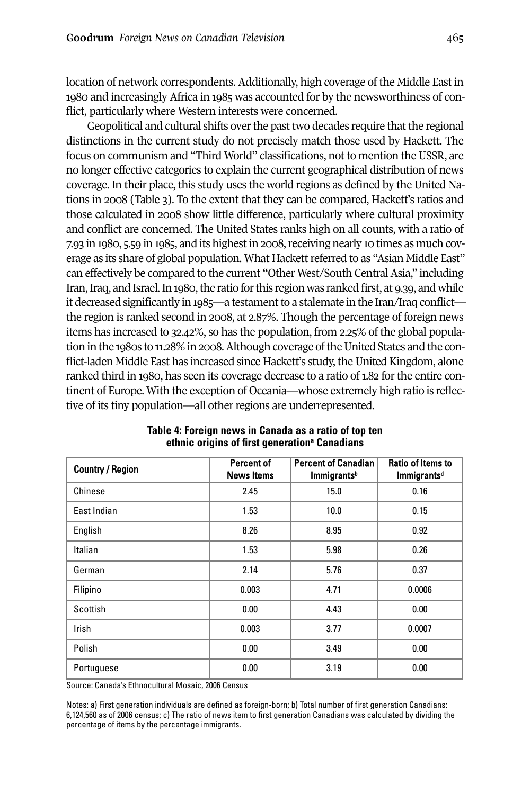location of network correspondents. Additionally, high coverage of the Middle East in 1980 and increasingly Africa in 1985 was accounted for by the newsworthiness of conflict, particularly where western interests were concerned.

Geopolitical and cultural shifts over the past two decades require that the regional distinctions in the current study do not precisely match those used by Hackett. The focus on communism and "Third world" classifications, not to mention the USSR, are no longer effective categories to explain the current geographical distribution of news coverage. In their place, this study uses the world regions as defined by the United Nations in 2008 (Table 3). To the extent that they can be compared, Hackett's ratios and those calculated in 2008 show little difference, particularly where cultural proximity and conflict are concerned. The United States ranks high on all counts, with a ratio of 7.93 in 1980, 5.59 in 1985, and its highest in 2008, receiving nearly 10 times as much coverage as its share of global population. what Hackettreferred to as "Asian Middle East" can effectively be compared to the current "Other West/South Central Asia," including Iran, Iraq, and Israel. In 1980, the ratio for this region was ranked first, at 9.39, and while it decreased significantly in 1985—a testamentto a stalemate in the Iran/Iraq conflict the region is ranked second in 2008, at 2.87%. Though the percentage of foreign news items has increased to 32.42%, so has the population, from 2.25% of the global population in the 1980s to 11.28% in 2008. Although coverage of the United States and the conflict-laden Middle East has increased since Hackett's study, the United Kingdom, alone ranked third in 1980, has seen its coverage decrease to a ratio of 1.82 for the entire continent of Europe. with the exception of Oceania—whose extremely high ratio is reflective of its tiny population—all other regions are underrepresented.

| <b>Country / Region</b> | Percent of<br><b>News Items</b> | <b>Percent of Canadian</b><br>Immigrants <sup>b</sup> | Ratio of Items to<br><b>Immigrants<sup>d</sup></b> |
|-------------------------|---------------------------------|-------------------------------------------------------|----------------------------------------------------|
| Chinese                 | 2.45                            | 15.0                                                  | 0.16                                               |
| East Indian             | 1.53                            | 10.0                                                  | 0.15                                               |
| English                 | 8.26                            | 8.95                                                  | 0.92                                               |
| Italian                 | 1.53                            | 5.98                                                  | 0.26                                               |
| German                  | 2.14                            | 5.76                                                  | 0.37                                               |
| Filipino                | 0.003                           | 4.71                                                  | 0.0006                                             |
| Scottish                | 0.00                            | 4.43                                                  | 0.00                                               |
| Irish                   | 0.003                           | 3.77                                                  | 0.0007                                             |
| Polish                  | 0.00                            | 3.49                                                  | 0.00                                               |
| Portuguese              | 0.00                            | 3.19                                                  | 0.00                                               |

# **Table 4: Foreign news in Canada as a ratio of top ten ethnic origins of first generationa Canadians**

Source: Canada's Ethnocultural Mosaic, 2006 Census

Notes: a) First generation individuals are defined as foreign-born; b) Total number of first generation Canadians: 6,124,560 as of 2006 census; c) The ratio of news item to first generation Canadians was calculated by dividing the percentage of items by the percentage immigrants.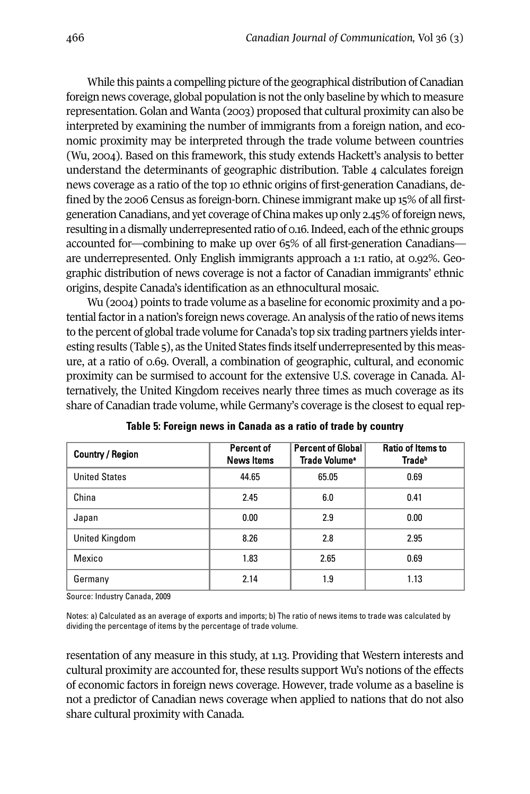While this paints a compelling picture of the geographical distribution of Canadian foreign news coverage, global population is not the only baseline by which to measure representation. Golan and wanta (2003) proposed that cultural proximity can also be interpreted by examining the number of immigrants from a foreign nation, and economic proximity may be interpreted through the trade volume between countries (wu, 2004). Based on this framework, this study extends Hackett's analysis to better understand the determinants of geographic distribution. Table 4 calculates foreign news coverage as a ratio of the top 10 ethnic origins of first-generation Canadians, defined by the 2006 Census as foreign-born. Chinese immigrant make up 15% of all firstgeneration Canadians, and yet coverage of China makes up only 2.45% of foreign news, resulting in a dismally underrepresented ratio of 0.16. Indeed, each of the ethnic groups accounted for—combining to make up over 65% of all first-generation Canadians are underrepresented. Only English immigrants approach a 1:1 ratio, at 0.92%. Geographic distribution of news coverage is not a factor of Canadian immigrants' ethnic origins, despite Canada's identification as an ethnocultural mosaic.

wu (2004) points to trade volume as a baseline for economic proximity and a potential factor in a nation's foreign news coverage. An analysis of the ratio of news items to the percent of global trade volume for Canada's top six trading partners yields interesting results (Table 5), as the United States finds itself underrepresented by this measure, at a ratio of 0.69. Overall, a combination of geographic, cultural, and economic proximity can be surmised to account for the extensive U.S. coverage in Canada. Alternatively, the United Kingdom receives nearly three times as much coverage as its share of Canadian trade volume, while Germany's coverage is the closest to equalrep-

| <b>Country / Region</b> | Percent of<br><b>News Items</b> | <b>Percent of Global</b><br>Trade Volume <sup>®</sup> | <b>Ratio of Items to</b><br><b>Trade</b> <sup>b</sup> |
|-------------------------|---------------------------------|-------------------------------------------------------|-------------------------------------------------------|
| <b>United States</b>    | 44.65                           | 65.05                                                 | 0.69                                                  |
| China                   | 2.45                            | 6.0                                                   | 0.41                                                  |
| Japan                   | 0.00                            | 2.9                                                   | 0.00                                                  |
| United Kingdom          | 8.26                            | 2.8                                                   | 2.95                                                  |
| Mexico                  | 1.83                            | 2.65                                                  | 0.69                                                  |
| Germany                 | 2.14                            | 1.9                                                   | 1.13                                                  |

**Table 5: Foreign news in Canada as a ratio of trade by country**

Source: Industry Canada, 2009

Notes: a) Calculated as an average of exports and imports; b) The ratio of news items to trade was calculated by dividing the percentage of items by the percentage of trade volume.

resentation of any measure in this study, at 1.13. Providing that western interests and cultural proximity are accounted for, these results support wu's notions of the effects of economic factors in foreign news coverage. However, trade volume as a baseline is not a predictor of Canadian news coverage when applied to nations that do not also share cultural proximity with Canada.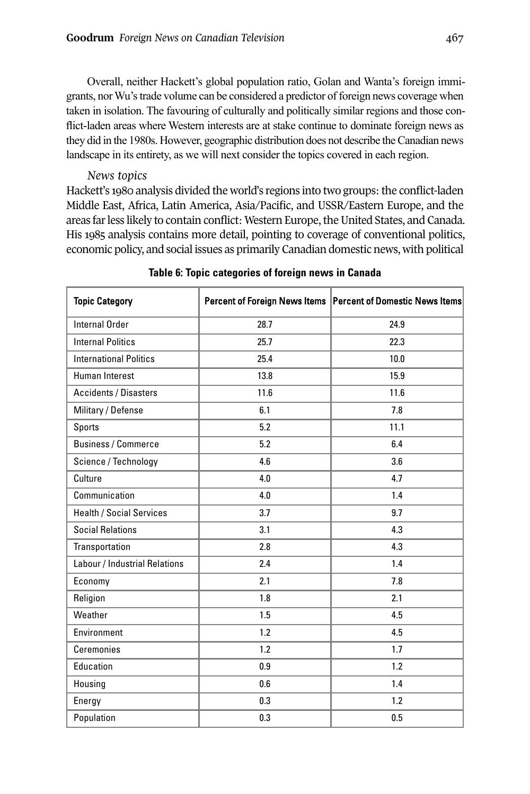Overall, neither Hackett's global population ratio, Golan and Wanta's foreign immigrants, norWu'strade volume can be considered a predictor offoreign news coverage when taken in isolation. The favouring of culturally and politically similar regions and those conflict-laden areas where Western interests are at stake continue to dominate foreign news as they did in the 1980s. However, geographic distribution does not describe theCanadian news landscape in its entirety, as we will next consider the topics covered in each region.

#### *News topics*

Hackett's 1980 analysis divided the world's regions into two groups: the conflict-laden Middle East, Africa, Latin America, Asia/Pacific, and USSR/Eastern Europe, and the areas far less likely to contain conflict: Western Europe, the United States, and Canada. His 1985 analysis contains more detail, pointing to coverage of conventional politics, economic policy, and social issues as primarily Canadian domestic news, with political

| <b>Topic Category</b>           |      | Percent of Foreign News Items   Percent of Domestic News Items |
|---------------------------------|------|----------------------------------------------------------------|
| Internal Order                  | 28.7 | 24.9                                                           |
| <b>Internal Politics</b>        | 25.7 | 22.3                                                           |
| <b>International Politics</b>   | 25.4 | 10.0                                                           |
| Human Interest                  | 13.8 | 15.9                                                           |
| <b>Accidents / Disasters</b>    | 11.6 | 11.6                                                           |
| Military / Defense              | 6.1  | 7.8                                                            |
| Sports                          | 5.2  | 11.1                                                           |
| <b>Business / Commerce</b>      | 5.2  | 6.4                                                            |
| Science / Technology            | 4.6  | 3.6                                                            |
| Culture                         | 4.0  | 4.7                                                            |
| Communication                   | 4.0  | 1.4                                                            |
| <b>Health / Social Services</b> | 3.7  | 9.7                                                            |
| <b>Social Relations</b>         | 3.1  | 4.3                                                            |
| Transportation                  | 2.8  | 4.3                                                            |
| Labour / Industrial Relations   | 2.4  | 1.4                                                            |
| Economy                         | 2.1  | 7.8                                                            |
| Religion                        | 1.8  | 2.1                                                            |
| Weather                         | 1.5  | 4.5                                                            |
| Environment                     | 1.2  | 4.5                                                            |
| Ceremonies                      | 1.2  | 1.7                                                            |
| Education                       | 0.9  | 1.2                                                            |
| Housing                         | 0.6  | 1.4                                                            |
| Energy                          | 0.3  | 1.2                                                            |
| Population                      | 0.3  | 0.5                                                            |

# **Table 6: Topic categories of foreign news in Canada**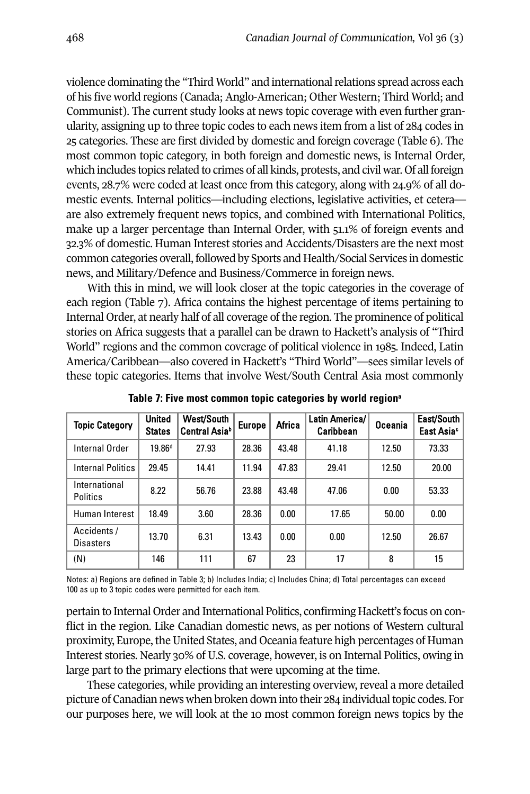violence dominating the "Third World" and international relations spread across each of his five world regions (Canada; Anglo-American; Other western; Third world; and Communist). The current study looks at news topic coverage with even further granularity, assigning up to three topic codes to each news item from a list of 284 codes in 25 categories. These are first divided by domestic and foreign coverage (Table 6). The most common topic category, in both foreign and domestic news, is Internal Order, which includes topics related to crimes of all kinds, protests, and civil war. Of all foreign events, 28.7% were coded at least once from this category, along with 24.9% of all domestic events. Internal politics—including elections, legislative activities, et cetera are also extremely frequent news topics, and combined with International Politics, make up a larger percentage than Internal Order, with 51.1% of foreign events and 32.3% of domestic. Human Interest stories and Accidents/Disasters are the next most common categories overall, followed by Sports and Health/Social Services in domestic news, and Military/Defence and Business/Commerce in foreign news.

With this in mind, we will look closer at the topic categories in the coverage of each region (Table 7). Africa contains the highest percentage of items pertaining to Internal Order, at nearly half of all coverage of the region. The prominence of political stories on Africa suggests that a parallel can be drawn to Hackett's analysis of "Third world" regions and the common coverage of political violence in 1985. Indeed, Latin America/Caribbean—also covered in Hackett's "Third world"—sees similar levels of these topic categories. Items that involve west/South Central Asia most commonly

| <b>Topic Category</b>            | <b>United</b><br><b>States</b> | West/South<br>Central Asiab | <b>Europe</b> | Africa | Latin America/<br>Caribbean | Oceania | East/South  <br>East Asia <sup>c</sup> |
|----------------------------------|--------------------------------|-----------------------------|---------------|--------|-----------------------------|---------|----------------------------------------|
| Internal Order                   | $19.86$ <sup>d</sup>           | 27.93                       | 28.36         | 43.48  | 41.18                       | 12.50   | 73.33                                  |
| <b>Internal Politics</b>         | 29.45                          | 14.41                       | 11.94         | 47.83  | 29.41                       | 12.50   | 20.00                                  |
| International<br><b>Politics</b> | 8.22                           | 56.76                       | 23.88         | 43.48  | 47.06                       | 0.00    | 53.33                                  |
| Human Interest                   | 18.49                          | 3.60                        | 28.36         | 0.00   | 17.65                       | 50.00   | 0.00                                   |
| Accidents /<br><b>Disasters</b>  | 13.70                          | 6.31                        | 13.43         | 0.00   | 0.00                        | 12.50   | 26.67                                  |
| (N)                              | 146                            | 111                         | 67            | 23     | 17                          | 8       | 15                                     |

**Table 7: Five most common topic categories by world regiona**

Notes: a) Regions are defined in Table 3; b) Includes India; c) Includes China; d) Total percentages can exceed 100 as up to 3 topic codes were permitted for each item.

pertain to Internal Order and International Politics, confirming Hackett's focus on conflict in the region. Like Canadian domestic news, as per notions of western cultural proximity, Europe, the United States, and Oceania feature high percentages of Human Interest stories. Nearly 30% of U.S. coverage, however, is on Internal Politics, owing in large part to the primary elections that were upcoming at the time.

These categories, while providing an interesting overview, reveal a more detailed picture of Canadian news when broken down into their 284 individual topic codes. For our purposes here, we will look at the 10 most common foreign news topics by the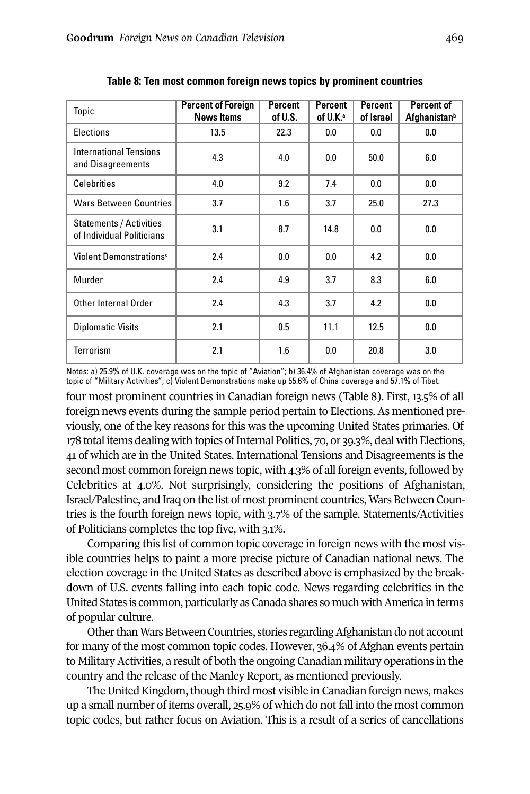| Topic                                                       | <b>Percent of Foreign</b><br><b>News Items</b> | Percent<br>of U.S. | Percent<br>of U.K. | <b>Percent</b><br>of Israel | <b>Percent of</b><br>Afghanistan <sup>b</sup> |
|-------------------------------------------------------------|------------------------------------------------|--------------------|--------------------|-----------------------------|-----------------------------------------------|
| Elections                                                   | 13.5                                           | 22.3               | 0.0                | 0.0                         | 0.0                                           |
| International Tensions<br>and Disagreements                 | 4.3                                            | 4.0                | 0.0                | 50.0                        | 6.0                                           |
| <b>Celebrities</b>                                          | 4.0                                            | 9.2                | 7.4                | 0.0                         | 0.0                                           |
| <b>Wars Between Countries</b>                               | 3.7                                            | 1.6                | 3.7                | 25.0                        | 27.3                                          |
| <b>Statements / Activities</b><br>of Individual Politicians | 3.1                                            | 8.7                | 14.8               | 0.0                         | 0.0                                           |
| Violent Demonstrations <sup>c</sup>                         | 2.4                                            | 0.0                | 0.0                | 4.2                         | 0.0                                           |
| Murder                                                      | 2.4                                            | 4.9                | 3.7                | 8.3                         | 6.0                                           |
| Other Internal Order                                        | 2.4                                            | 4.3                | 3.7                | 4.2                         | 0.0                                           |
| <b>Diplomatic Visits</b>                                    | 2.1                                            | 0.5                | 11.1               | 12.5                        | 0.0                                           |
| <b>Terrorism</b>                                            | 2.1                                            | 1.6                | 0.0                | 20.8                        | 3.0                                           |

**Table 8: Ten most common foreign news topics by prominent countries**

Notes: a) 25.9% of U.K. coverage was on the topic of "Aviation"; b) 36.4% of Afghanistan coverage was on the topic of "Military Activities"; c) Violent Demonstrations make up 55.6% of China coverage and 57.1% of Tibet.

four most prominent countries in Canadian foreign news (Table 8). First, 13.5% of all foreign news events during the sample period pertain to Elections. As mentioned previously, one of the key reasons for this was the upcoming United States primaries. Of 178 total items dealing with topics of Internal Politics, 70, or 39.3%, deal with Elections, 41 of which are in the United States. International Tensions and Disagreements is the second most common foreign news topic, with 4.3% of all foreign events, followed by Celebrities at 4.0%. Not surprisingly, considering the positions of Afghanistan, Israel/Palestine, and Iraq on the list of most prominent countries, wars Between Countries is the fourth foreign news topic, with 3.7% of the sample. Statements/Activities of Politicians completes the top five, with 3.1%.

Comparing this list of common topic coverage in foreign news with the most visible countries helps to paint a more precise picture of Canadian national news. The election coverage in the United States as described above is emphasized by the breakdown of U.S. events falling into each topic code. News regarding celebrities in the United States is common, particularly as Canada shares so much with America in terms of popular culture.

Other than Wars Between Countries, stories regarding Afghanistan do not account for many of the most common topic codes. However, 36.4% of Afghan events pertain to Military Activities, a result of both the ongoing Canadian military operations in the country and the release of the Manley Report, as mentioned previously.

The United Kingdom, though third most visible in Canadian foreign news, makes up a small number of items overall, 25.9% of which do not fall into the most common topic codes, but rather focus on Aviation. This is a result of a series of cancellations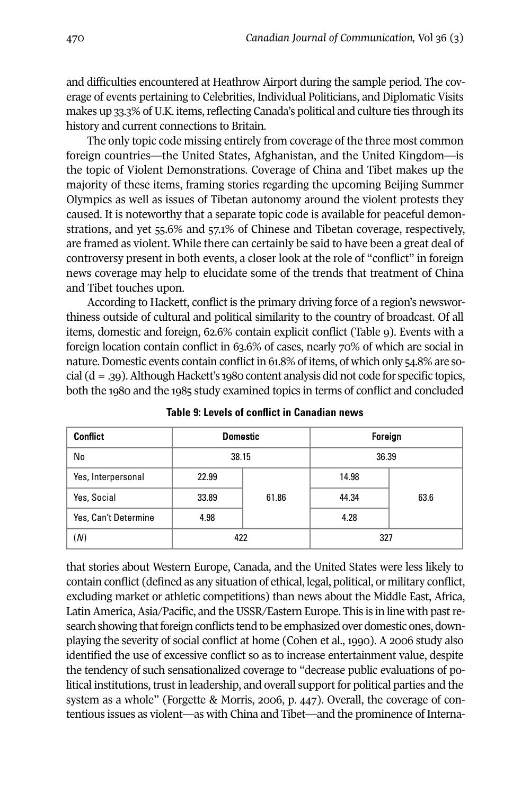and difficulties encountered at Heathrow Airport during the sample period. The coverage of events pertaining to Celebrities, Individual Politicians, and Diplomatic Visits makes up 33.3% of U.K. items, reflecting Canada's political and culture ties through its history and current connections to Britain.

The only topic code missing entirely from coverage of the three most common foreign countries—the United States, Afghanistan, and the United Kingdom—is the topic of Violent Demonstrations. Coverage of China and Tibet makes up the majority of these items, framing stories regarding the upcoming Beijing Summer Olympics as well as issues of Tibetan autonomy around the violent protests they caused. It is noteworthy that a separate topic code is available for peaceful demonstrations, and yet 55.6% and 57.1% of Chinese and Tibetan coverage, respectively, are framed as violent. while there can certainly be said to have been a great deal of controversy present in both events, a closer look at the role of "conflict" in foreign news coverage may help to elucidate some of the trends that treatment of China and Tibet touches upon.

According to Hackett, conflict is the primary driving force of a region's newsworthiness outside of cultural and political similarity to the country of broadcast. Of all items, domestic and foreign, 62.6% contain explicit conflict (Table 9). Events with a foreign location contain conflict in 63.6% of cases, nearly 70% of which are social in nature. Domestic events contain conflict in 61.8% of items, of which only 54.8% are social  $(d = .39)$ . Although Hackett's 1980 content analysis did not code for specific topics, both the 1980 and the 1985 study examined topics in terms of conflict and concluded

| <b>Conflict</b>      | <b>Domestic</b> |       | Foreign |      |
|----------------------|-----------------|-------|---------|------|
| No                   | 38.15           |       | 36.39   |      |
| Yes, Interpersonal   | 22.99           |       | 14.98   |      |
| Yes, Social          | 33.89           | 61.86 | 44.34   | 63.6 |
| Yes, Can't Determine | 4.98            |       | 4.28    |      |
| (N)                  | 422             |       | 327     |      |

**Table 9: Levels of conflict in Canadian news**

that stories about western Europe, Canada, and the United States were less likely to contain conflict (defined as any situation of ethical, legal, political, or military conflict, excluding market or athletic competitions) than news about the Middle East, Africa, Latin America, Asia/Pacific, and the USSR/Eastern Europe. This is in line with pastresearch showing that foreign conflicts tend to be emphasized over domestic ones, downplaying the severity of social conflict at home (Cohen et al., 1990). A 2006 study also identified the use of excessive conflict so as to increase entertainment value, despite the tendency of such sensationalized coverage to "decrease public evaluations of political institutions, trust in leadership, and overall support for political parties and the system as a whole" (Forgette & Morris, 2006, p. 447). Overall, the coverage of contentious issues as violent—as with China and Tibet—and the prominence of Interna-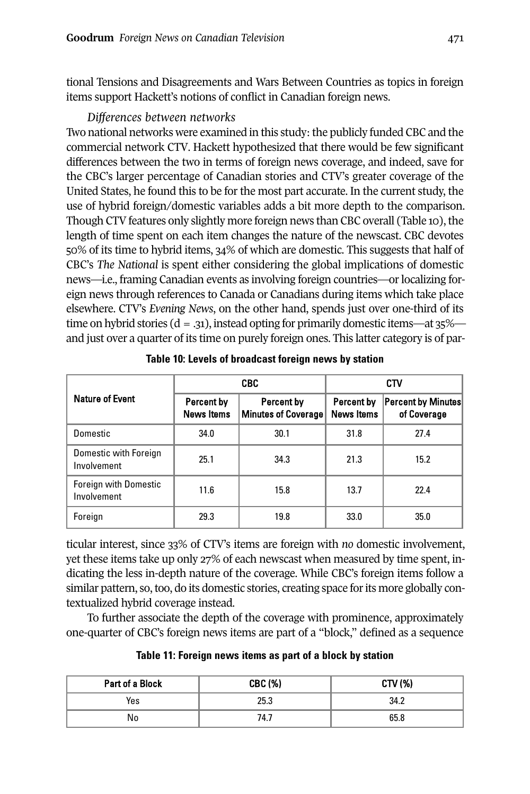tional Tensions and Disagreements and wars Between Countries as topics in foreign items support Hackett's notions of conflict in Canadian foreign news.

# *Differences between networks*

Two national networks were examined in this study: the publicly funded CBC and the commercial network CTV. Hackett hypothesized that there would be few significant differences between the two in terms of foreign news coverage, and indeed, save for the CBC's larger percentage of Canadian stories and CTV's greater coverage of the United States, he found this to be for the most part accurate. In the current study, the use of hybrid foreign/domestic variables adds a bit more depth to the comparison. Though CTV features only slightly more foreign news than CBC overall (Table 10), the length of time spent on each item changes the nature of the newscast. CBC devotes 50% of its time to hybrid items, 34% of which are domestic. This suggests that half of CBC's *The National* is spent either considering the global implications of domestic news—i.e., framing Canadian events as involving foreign countries—or localizing foreign news through references to Canada or Canadians during items which take place elsewhere. CTV's *Evening News*, on the other hand, spends just over one-third of its time on hybrid stories ( $d = .31$ ), instead opting for primarily domestic items—at 35% and just over a quarter of its time on purely foreign ones. This latter category is of par-

|                                             |                                 | <b>CBC</b>                        | <b>CTV</b>                      |                                          |  |
|---------------------------------------------|---------------------------------|-----------------------------------|---------------------------------|------------------------------------------|--|
| <b>Nature of Event</b>                      | Percent by<br><b>News Items</b> | Percent by<br>Minutes of Coverage | Percent by<br><b>News Items</b> | <b>Percent by Minutes</b><br>of Coverage |  |
| Domestic                                    | 34.0                            | 30.1                              | 31.8                            | 27.4                                     |  |
| Domestic with Foreign<br>Involvement        | 25.1                            | 34.3                              | 21.3                            | 15.2                                     |  |
| <b>Foreign with Domestic</b><br>Involvement | 11.6                            | 15.8                              | 13.7                            | 22.4                                     |  |
| Foreign                                     | 29.3                            | 19.8                              | 33.0                            | 35.0                                     |  |

**Table 10: Levels of broadcast foreign news by station**

ticular interest, since 33% of CTV's items are foreign with *no* domestic involvement, yet these items take up only 27% of each newscast when measured by time spent, indicating the less in-depth nature of the coverage. while CBC's foreign items follow a similar pattern, so, too, do its domestic stories, creating space for its more globally contextualized hybrid coverage instead.

To further associate the depth of the coverage with prominence, approximately one-quarter of CBC's foreign news items are part of a "block," defined as a sequence

| Table 11: Foreign news items as part of a block by station |  |  |  |
|------------------------------------------------------------|--|--|--|
|------------------------------------------------------------|--|--|--|

| Part of a Block | CBC (%) | CTV (%) |
|-----------------|---------|---------|
| Yes             | 25.3    | 34.2    |
| No              | 74.7    | 65.8    |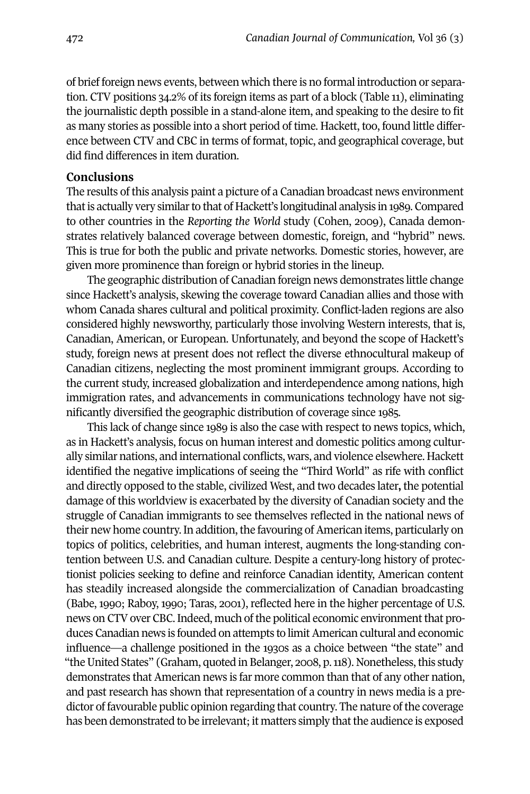of brief foreign news events, between which there is no formal introduction or separation. CTV positions 34.2% of its foreign items as part of a block (Table 11), eliminating the journalistic depth possible in a stand-alone item, and speaking to the desire to fit as many stories as possible into a short period of time. Hackett, too, found little difference between CTV and CBC in terms of format, topic, and geographical coverage, but did find differences in item duration.

### **Conclusions**

The results of this analysis paint a picture of a Canadian broadcast news environment that is actually very similar to that of Hackett's longitudinal analysis in 1989. Compared to other countries in the *Reporting the World* study (Cohen, 2009), Canada demonstrates relatively balanced coverage between domestic, foreign, and "hybrid" news. This is true for both the public and private networks. Domestic stories, however, are given more prominence than foreign or hybrid stories in the lineup.

The geographic distribution of Canadian foreign news demonstrates little change since Hackett's analysis, skewing the coverage toward Canadian allies and those with whom Canada shares cultural and political proximity. Conflict-laden regions are also considered highly newsworthy, particularly those involving western interests, that is, Canadian, American, or European. Unfortunately, and beyond the scope of Hackett's study, foreign news at present does not reflect the diverse ethnocultural makeup of Canadian citizens, neglecting the most prominent immigrant groups. According to the current study, increased globalization and interdependence among nations, high immigration rates, and advancements in communications technology have not significantly diversified the geographic distribution of coverage since 1985.

This lack of change since 1989 is also the case with respect to news topics, which, as in Hackett's analysis, focus on human interest and domestic politics among culturally similar nations, and international conflicts, wars, and violence elsewhere. Hackett identified the negative implications of seeing the "Third world" as rife with conflict and directly opposed to the stable, civilized west, and two decades later**,** the potential damage of this worldview is exacerbated by the diversity of Canadian society and the struggle of Canadian immigrants to see themselves reflected in the national news of their new home country. In addition, the favouring of American items, particularly on topics of politics, celebrities, and human interest, augments the long-standing contention between U.S. and Canadian culture. Despite a century-long history of protectionist policies seeking to define and reinforce Canadian identity, American content has steadily increased alongside the commercialization of Canadian broadcasting (Babe, 1990; Raboy, 1990; Taras, 2001), reflected here in the higher percentage of U.S. news on CTV over CBC. Indeed, much of the political economic environment that produces Canadian news is founded on attempts to limit American cultural and economic influence—a challenge positioned in the 1930s as a choice between "the state" and "the United States" (Graham, quoted in Belanger, 2008, p. 118). Nonetheless, this study demonstrates that American news is far more common than that of any other nation, and past research has shown that representation of a country in news media is a predictor of favourable public opinion regarding that country. The nature of the coverage has been demonstrated to be irrelevant; it matters simply that the audience is exposed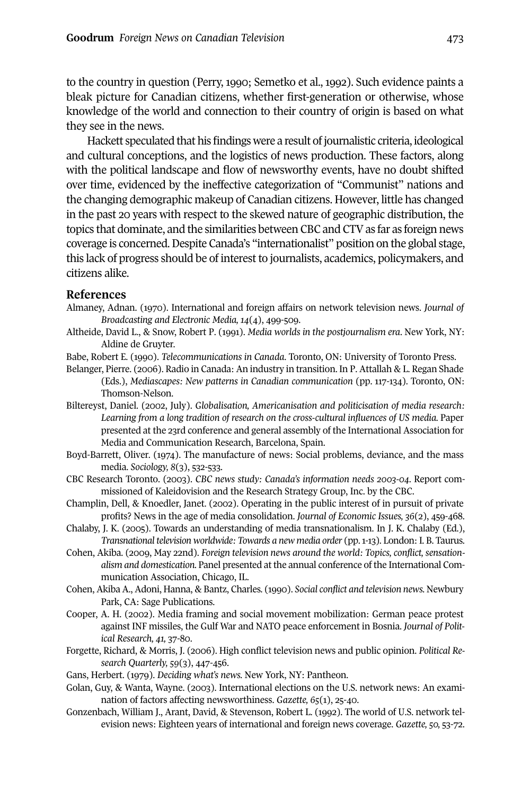to the country in question (Perry, 1990; Semetko et al., 1992). Such evidence paints a bleak picture for Canadian citizens, whether first-generation or otherwise, whose knowledge of the world and connection to their country of origin is based on what they see in the news.

Hackett speculated that his findings were a result ofjournalistic criteria, ideological and cultural conceptions, and the logistics of news production. These factors, along with the political landscape and flow of newsworthy events, have no doubt shifted over time, evidenced by the ineffective categorization of "Communist" nations and the changing demographic makeup of Canadian citizens. However, little has changed in the past 20 years with respect to the skewed nature of geographic distribution, the topics that dominate, and the similarities between CBC and CTV as far as foreign news coverage is concerned.Despite Canada's "internationalist" position on the global stage, this lack of progress should be of interest to journalists, academics, policymakers, and citizens alike.

#### **References**

- Almaney, Adnan. (1970). International and foreign affairs on network television news. *Journal of Broadcasting and Electronic Media, 14*(4), 499-509.
- Altheide, David L., & Snow, Robert P. (1991). *Media worlds in the postjournalism era*. New york, Ny: Aldine de Gruyter.
- Babe, Robert E. (1990). *Telecommunications in Canada*. Toronto, ON: University of Toronto Press.
- Belanger, Pierre. (2006). Radio in Canada: An industry in transition. In P. Attallah & L. Regan Shade (Eds.), *Mediascapes: New patterns in Canadian communication* (pp. 117-134). Toronto, ON: Thomson-Nelson.
- Biltereyst, Daniel. (2002, July). *Globalisation, Americanisation and politicisation of media research: Learning from a long tradition of research on the cross-cultural influences of US media.* Paper presented at the 23rd conference and general assembly of the International Association for Media and Communication Research, Barcelona, Spain.
- Boyd-Barrett, Oliver. (1974). The manufacture of news: Social problems, deviance, and the mass media. *Sociology, 8*(3), 532-533.
- CBC Research Toronto. (2003). *CBC news study: Canada's information needs 2003-04*. Report commissioned of Kaleidovision and the Research Strategy Group, Inc. by the CBC.
- Champlin, Dell, & Knoedler, Janet. (2002). Operating in the public interest of in pursuit of private profits? News in the age of media consolidation. *Journal of Economic Issues, 36*(2), 459-468.
- Chalaby, J. K. (2005). Towards an understanding of media transnationalism. In J. K. Chalaby (Ed.), *Transnational television worldwide: Towards a new media order* (pp.1-13). London: I. B. Taurus.
- Cohen, Akiba. (2009, May 22nd). *Foreign television news around the world: Topics, conflict, sensationalism and domestication.* Panel presented at the annual conference of the International Communication Association, Chicago, IL.
- Cohen, Akiba A., Adoni, Hanna, & Bantz, Charles*.* (1990). *Social conflict and television news.* Newbury Park, CA: Sage Publications.
- Cooper, A. H. (2002). Media framing and social movement mobilization: German peace protest against INF missiles, the Gulf war and NATO peace enforcement in Bosnia. *Journal of Political Research, 41,* 37-80.
- Forgette, Richard, & Morris, J. (2006). High conflict television news and public opinion. *Political Research Quarterly, 59*(3), 447-456.
- Gans, Herbert. (1979). *Deciding what's news.* New york, Ny: Pantheon.
- Golan, Guy, & wanta, wayne. (2003). International elections on the U.S. network news: An examination of factors affecting newsworthiness. *Gazette, 65*(1), 25-40.
- Gonzenbach, william J., Arant, David, & Stevenson, Robert L. (1992). The world of U.S. network television news: Eighteen years of international and foreign news coverage. *Gazette, 50,* 53-72.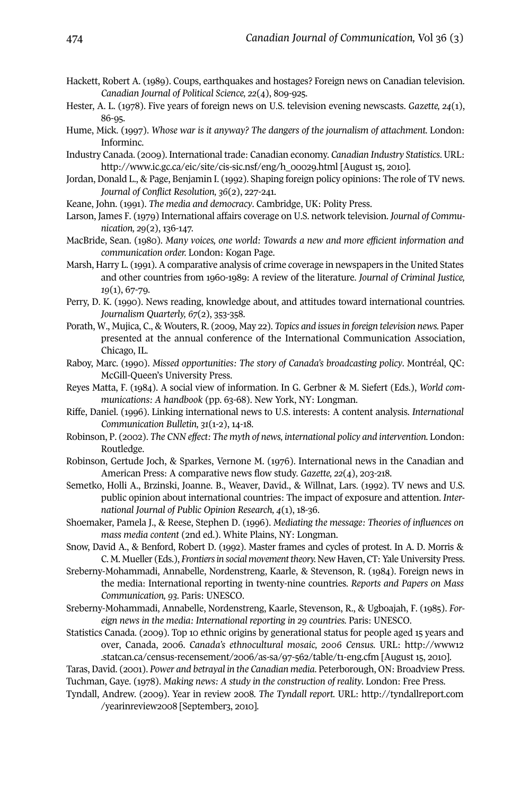- Hackett, Robert A. (1989). Coups, earthquakes and hostages? Foreign news on Canadian television. *Canadian Journal of Political Science, 22*(4), 809-925.
- Hester, A. L. (1978). Five years of foreign news on U.S. television evening newscasts. *Gazette, 24*(1), 86-95.
- Hume, Mick. (1997). *Whose war is it anyway? The dangers of the journalism of attachment.* London: Informinc.
- Industry Canada. (2009). International trade: Canadian economy. *Canadian Industry Statistics*. URL: [http://www.ic.gc.ca/eic/site/cis-sic.nsf/eng/h\\_00029.html](http://www.ic.gc.ca/eic/site/cis-sic.nsf/eng/h_00029.html) [August 15, 2010].
- Jordan, Donald L., & Page, Benjamin I. (1992). Shaping foreign policy opinions: The role of TV news. *Journal of Conflict Resolution, 36*(2), 227-241.
- Keane, John. (1991). *The media and democracy*. Cambridge, UK: Polity Press.
- Larson, James F. (1979) International affairs coverage on U.S. network television. *Journal of Communication, 29*(2), 136-147.
- MacBride, Sean. (1980). *Many voices, one world: Towards a new and more efficient information and communication order.* London: Kogan Page.
- Marsh, Harry L. (1991). A comparative analysis of crime coverage in newspapers in the United States and other countries from 1960-1989: A review of the literature. *Journal of Criminal Justice, 19*(1), 67-79.
- Perry, D. K. (1990). News reading, knowledge about, and attitudes toward international countries*. Journalism Quarterly, 67*(2), 353-358.
- Porath, w., Mujica, C., & wouters, R. (2009, May 22). *Topics and issuesin foreign television news.* Paper presented at the annual conference of the International Communication Association, Chicago, IL.
- Raboy, Marc. (1990). *Missed opportunities: The story of Canada's broadcasting policy*. Montréal, QC: McGill-Queen's University Press.
- Reyes Matta, F. (1984). A social view of information. In G. Gerbner & M. Siefert (Eds.), *World communications: A handbook* (pp. 63-68). New york, Ny: Longman.
- Riffe, Daniel. (1996). Linking international news to U.S. interests: A content analysis. *International Communication Bulletin, 31*(1-2), 14-18.
- Robinson, P. (2002). *The CNN effect: The myth of news, international policy and intervention.* London: Routledge.
- Robinson, Gertude Joch, & Sparkes, Vernone M. (1976). International news in the Canadian and American Press: A comparative news flow study. *Gazette, 22*(4), 203-218.
- Semetko, Holli A., Brzinski, Joanne. B., weaver, David., & willnat, Lars. (1992). TV news and U.S. public opinion about international countries: The impact of exposure and attention. *International Journal of Public Opinion Research, 4*(1), 18-36.
- Shoemaker, Pamela J., & Reese, Stephen D. (1996). *Mediating the message: Theories of influences on mass media content* (2nd ed.). white Plains, Ny: Longman.
- Snow, David A., & Benford, Robert D. (1992). Master frames and cycles of protest. In A. D. Morris & C. M. Mueller (Eds.), *Frontiersin social movement theory.* New Haven, CT:yaleUniversity Press.
- Sreberny-Mohammadi, Annabelle, Nordenstreng, Kaarle, & Stevenson, R. (1984). Foreign news in the media: International reporting in twenty-nine countries. *Reports and Papers on Mass Communication, 93*. Paris: UNESCO.
- Sreberny-Mohammadi, Annabelle, Nordenstreng, Kaarle, Stevenson, R., & Ugboajah, F. (1985). *Foreign news in the media: International reporting in 29 countries.* Paris: UNESCO.
- Statistics Canada. (2009). Top 10 ethnic origins by generational status for people aged 15 years and over, Canada, 2006. *Canada's ethnocultural mosaic, 2006 Census.* URL: [http://www12](http://www12.statcan.ca/census-recensement/2006/as-sa/97-562/table/t1-eng.cfm) [.statcan.ca/census-recensement/2006/as-sa/97-562/table/t1-eng.cfm](http://www12.statcan.ca/census-recensement/2006/as-sa/97-562/table/t1-eng.cfm) [August 15, 2010].
- Taras, David. (2001). *Power and betrayal in the Canadian media*. Peterborough, ON: Broadview Press. Tuchman, Gaye. (1978). *Making news: A study in the construction of reality*. London: Free Press.
- Tyndall, Andrew. (2009). year in review 2008*. The Tyndall report.* URL: [http://tyndallreport.com](http://tyndallreport.com/yearinreview2008) [/yearinreview2008](http://tyndallreport.com/yearinreview2008) [September3, 2010].